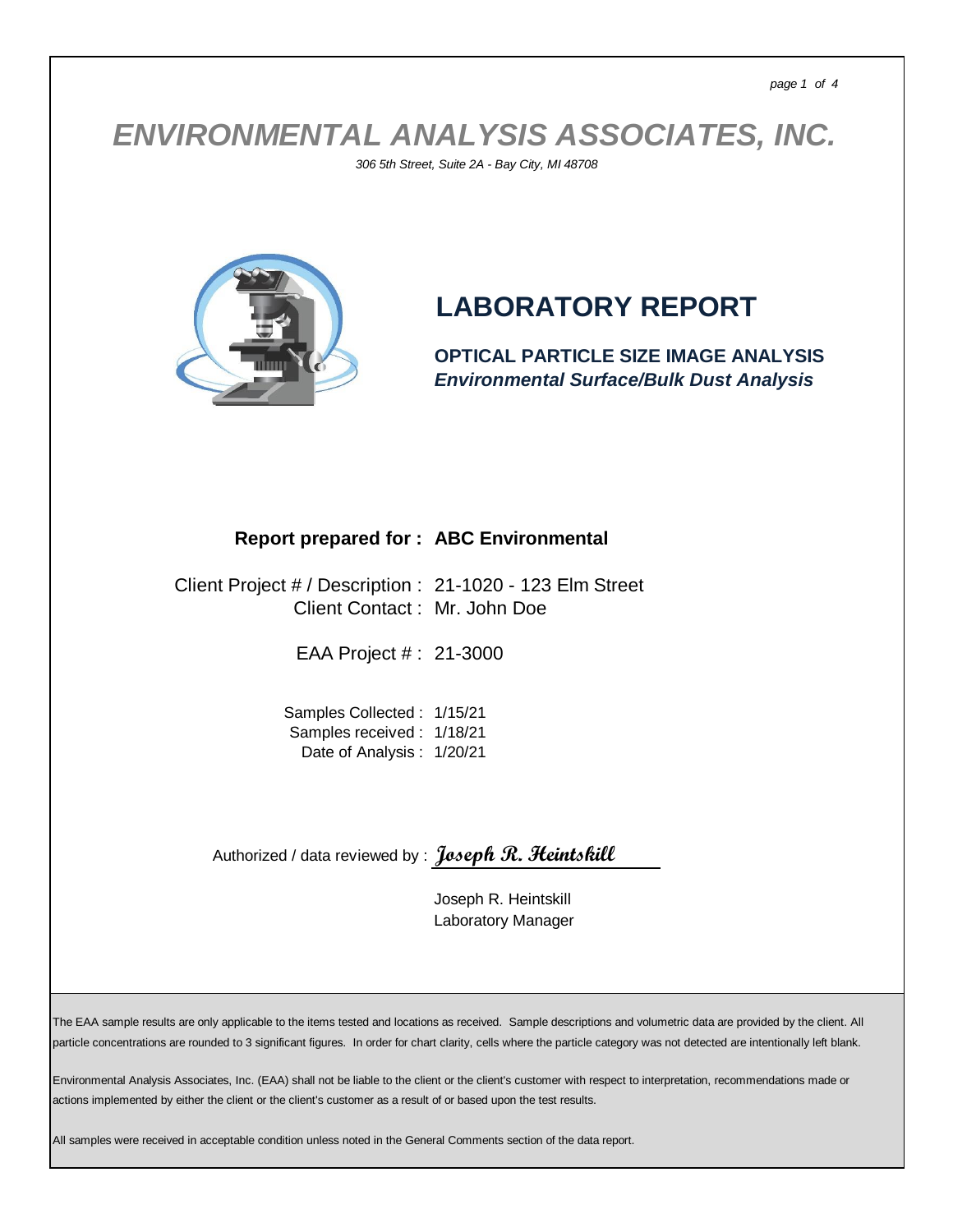*ENVIRONMENTAL ANALYSIS ASSOCIATES, INC.*

*306 5th Street, Suite 2A - Bay City, MI 48708*



## **LABORATORY REPORT**

**OPTICAL PARTICLE SIZE IMAGE ANALYSIS** *Environmental Surface/Bulk Dust Analysis*

## **Report prepared for : ABC Environmental**

Client Project # / Description : 21-1020 - 123 Elm Street Client Contact : Mr. John Doe

EAA Project # : 21-3000

Samples Collected : 1/15/21 Samples received : 1/18/21 Date of Analysis : 1/20/21

Authorized / data reviewed by : **Joseph R. Heintskill**

Joseph R. Heintskill Laboratory Manager

The EAA sample results are only applicable to the items tested and locations as received. Sample descriptions and volumetric data are provided by the client. All particle concentrations are rounded to 3 significant figures. In order for chart clarity, cells where the particle category was not detected are intentionally left blank.

Environmental Analysis Associates, Inc. (EAA) shall not be liable to the client or the client's customer with respect to interpretation, recommendations made or actions implemented by either the client or the client's customer as a result of or based upon the test results.

All samples were received in acceptable condition unless noted in the General Comments section of the data report.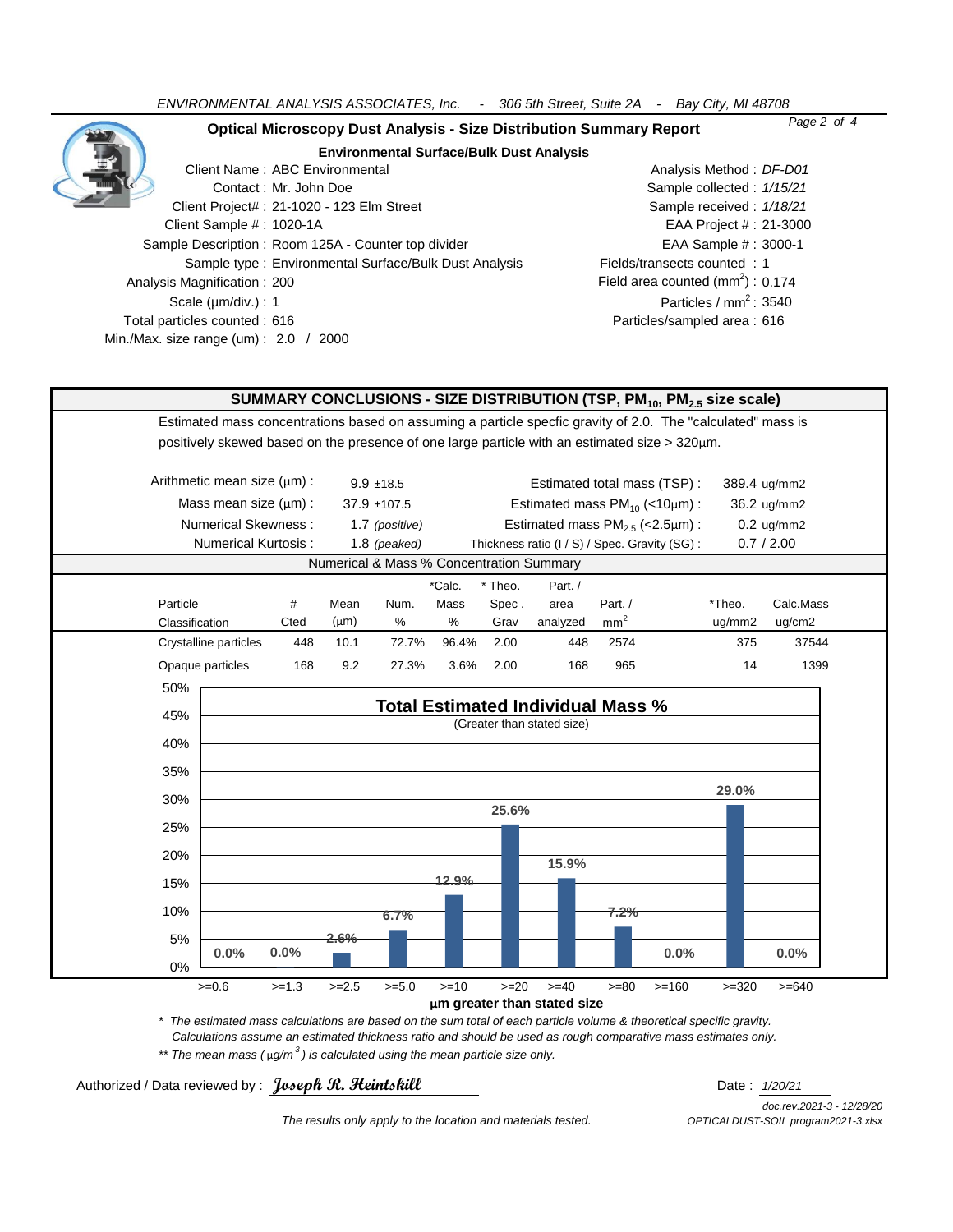*ENVIRONMENTAL ANALYSIS ASSOCIATES, Inc. - 306 5th Street, Suite 2A - Bay City, MI 48708*

| <b>Optical Microscopy Dust Analysis - Size Distribution Summary Report</b> | Page 2 of 4                        |
|----------------------------------------------------------------------------|------------------------------------|
| <b>Environmental Surface/Bulk Dust Analysis</b>                            |                                    |
| Client Name: ABC Environmental                                             | Analysis Method: DF-D01            |
| Contact: Mr. John Doe                                                      | Sample collected: 1/15/21          |
| Client Project#: 21-1020 - 123 Elm Street                                  | Sample received: 1/18/21           |
| Client Sample #: 1020-1A                                                   | EAA Project # : 21-3000            |
| Sample Description: Room 125A - Counter top divider                        | EAA Sample #: 3000-1               |
| Sample type: Environmental Surface/Bulk Dust Analysis                      | Fields/transects counted: 1        |
| Analysis Magnification: 200                                                | Field area counted $(mm2)$ : 0.174 |
| Scale $(\mu m/div.) : 1$                                                   | Particles / $mm2$ : 3540           |
| Total particles counted: 616                                               | Particles/sampled area: 616        |
| Min./Max. size range (um): $2.0$ / 2000                                    |                                    |

## **SUMMARY CONCLUSIONS - SIZE DISTRIBUTION (TSP, PM10, PM2.5 size scale)**

Estimated mass concentrations based on assuming a particle specfic gravity of 2.0. The "calculated" mass is positively skewed based on the presence of one large particle with an estimated size > 320µm.

|                                          | Arithmetic mean size $(\mu m)$ : |      | $9.9 + 18.5$ |                | Estimated total mass (TSP):              |       |                                                |                 |  | 389.4 ug/mm2 |              |  |
|------------------------------------------|----------------------------------|------|--------------|----------------|------------------------------------------|-------|------------------------------------------------|-----------------|--|--------------|--------------|--|
|                                          | Mass mean size $(\mu m)$ :       |      |              | $37.9 + 107.5$ | Estimated mass $PM_{10}$ (<10 $\mu$ m) : |       |                                                |                 |  | 36.2 ug/mm2  |              |  |
|                                          | Numerical Skewness:              |      |              | 1.7 (positive) |                                          |       | Estimated mass $PM2.5$ (<2.5 $\mu$ m) :        |                 |  |              | $0.2$ ug/mm2 |  |
|                                          | Numerical Kurtosis:              |      |              | 1.8 (peaked)   |                                          |       | Thickness ratio (I / S) / Spec. Gravity (SG) : |                 |  |              | 0.7 / 2.00   |  |
| Numerical & Mass % Concentration Summary |                                  |      |              |                |                                          |       |                                                |                 |  |              |              |  |
|                                          |                                  |      |              |                | *Calc.                                   | Theo. | Part. /                                        |                 |  |              |              |  |
|                                          | Particle                         | #    | Mean         | Num.           | Mass                                     | Spec. | area                                           | Part./          |  | *Theo.       | Calc.Mass    |  |
|                                          | Classification                   | Cted | $(\mu m)$    | %              | %                                        | Grav  | analyzed                                       | mm <sup>2</sup> |  | uq/mm2       | ug/cm2       |  |
|                                          | Crystalline particles            | 448  | 10.1         | 72.7%          | 96.4%                                    | 2.00  | 448                                            | 2574            |  | 375          | 37544        |  |
|                                          | Opaque particles                 | 168  | 9.2          | 27.3%          | 3.6%                                     | 2.00  | 168                                            | 965             |  | 14           | 1399         |  |
|                                          |                                  |      |              |                |                                          |       |                                                |                 |  |              |              |  |



*\* The estimated mass calculations are based on the sum total of each particle volume & theoretical specific gravity. Calculations assume an estimated thickness ratio and should be used as rough comparative mass estimates only.*

*\*\* The mean mass (* µ*g/m <sup>3</sup> ) is calculated using the mean particle size only.*

Authorized / Data reviewed by : **Joseph R. Heintskill** Date : *1/20/21* 

*doc.rev.2021-3 - 12/28/20 The results only apply to the location and materials tested. OPTICALDUST-SOIL program2021-3.xlsx*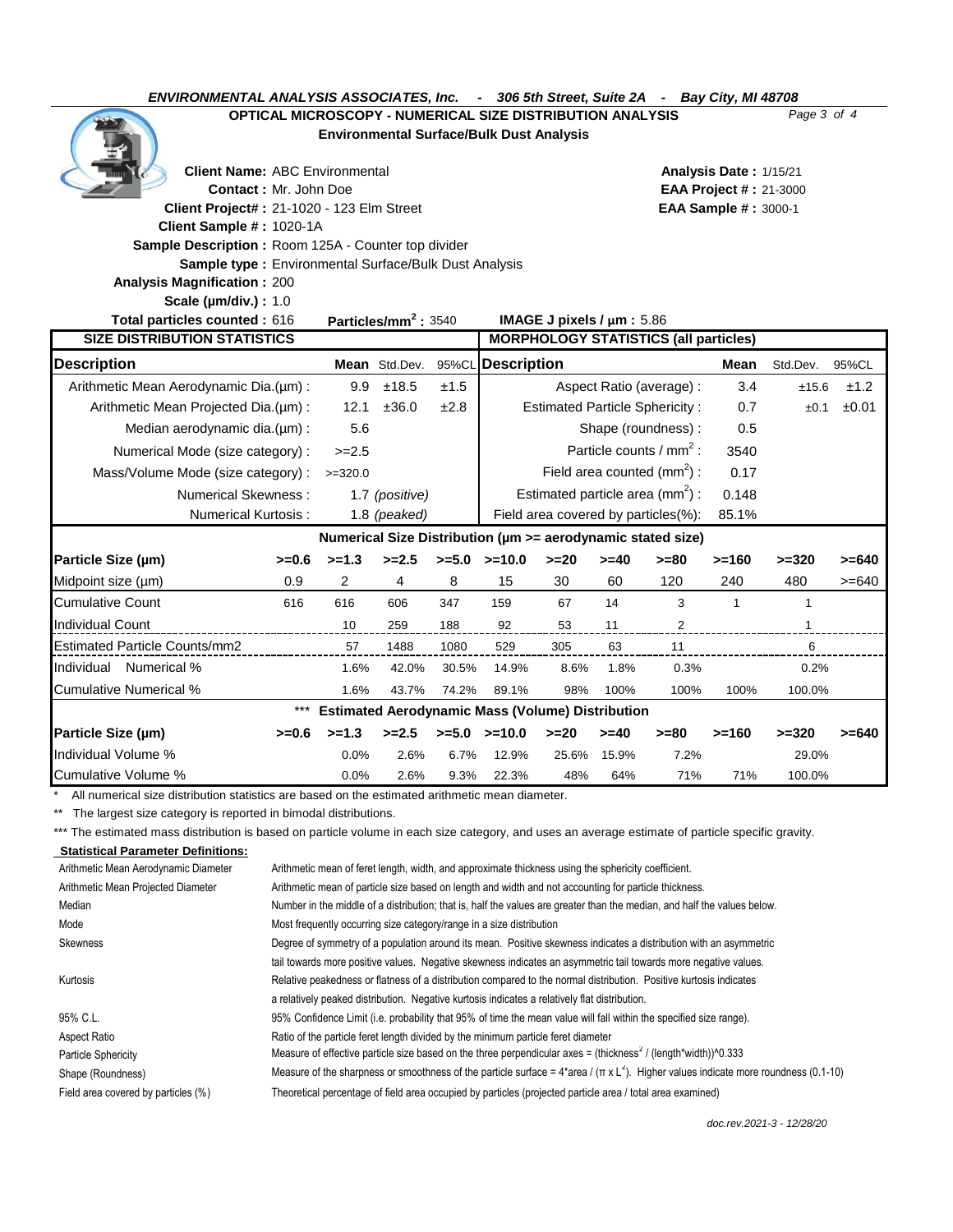*ENVIRONMENTAL ANALYSIS ASSOCIATES, Inc. - 306 5th Street, Suite 2A - Bay City, MI 48708*

**OPTICAL MICROSCOPY - NUMERICAL SIZE DISTRIBUTION ANALYSIS** *Page 3 of 4*

**Environmental Surface/Bulk Dust Analysis**

**Client Name:** ABC Environmental **Analysis Date :** 1/15/21

| <b>Contact: Mr. John Doe</b>                            |                                                              |           |                                                     |          | <b>EAA Project #: 21-3000</b>         |                                    |         |                                                             |              |              |          |
|---------------------------------------------------------|--------------------------------------------------------------|-----------|-----------------------------------------------------|----------|---------------------------------------|------------------------------------|---------|-------------------------------------------------------------|--------------|--------------|----------|
| Client Project#: 21-1020 - 123 Elm Street               |                                                              |           |                                                     |          | <b>EAA Sample #: 3000-1</b>           |                                    |         |                                                             |              |              |          |
| Client Sample #: 1020-1A                                |                                                              |           |                                                     |          |                                       |                                    |         |                                                             |              |              |          |
| Sample Description: Room 125A - Counter top divider     |                                                              |           |                                                     |          |                                       |                                    |         |                                                             |              |              |          |
|                                                         | <b>Sample type: Environmental Surface/Bulk Dust Analysis</b> |           |                                                     |          |                                       |                                    |         |                                                             |              |              |          |
| <b>Analysis Magnification: 200</b>                      |                                                              |           |                                                     |          |                                       |                                    |         |                                                             |              |              |          |
| <b>Scale (µm/div.): 1.0</b>                             |                                                              |           |                                                     |          |                                       |                                    |         |                                                             |              |              |          |
| Total particles counted : 616                           |                                                              |           | Particles/mm <sup>2</sup> : 3540                    |          | IMAGE J pixels $/\mu$ m: 5.86         |                                    |         |                                                             |              |              |          |
| <b>SIZE DISTRIBUTION STATISTICS</b>                     |                                                              |           |                                                     |          |                                       |                                    |         | <b>MORPHOLOGY STATISTICS (all particles)</b>                |              |              |          |
| <b>Description</b>                                      |                                                              |           | Mean Std.Dev.                                       | 95%CL    | <b>Description</b>                    |                                    |         |                                                             | Mean         | Std.Dev.     | 95%CL    |
| Arithmetic Mean Aerodynamic Dia.(um):                   |                                                              | 9.9       | ±18.5                                               | ±1.5     | Aspect Ratio (average) :              |                                    |         | 3.4                                                         | ±15.6        | ±1.2         |          |
| Arithmetic Mean Projected Dia.(um):                     |                                                              | 12.1      | ±36.0                                               | ±2.8     | <b>Estimated Particle Sphericity:</b> |                                    |         |                                                             | 0.7          | ±0.1         | ±0.01    |
| Median aerodynamic dia.(µm):                            |                                                              | 5.6       |                                                     |          |                                       |                                    |         | Shape (roundness):                                          | 0.5          |              |          |
| Numerical Mode (size category) :                        |                                                              | $>=2.5$   |                                                     |          | Particle counts / $mm2$ :             |                                    |         | 3540                                                        |              |              |          |
| Mass/Volume Mode (size category):                       |                                                              | $>=320.0$ |                                                     |          | Field area counted $(mm^2)$ :         |                                    |         |                                                             | 0.17         |              |          |
|                                                         | <b>Numerical Skewness:</b>                                   |           | 1.7 (positive)                                      |          |                                       | Estimated particle area $(mm^2)$ : |         |                                                             | 0.148        |              |          |
|                                                         | <b>Numerical Kurtosis:</b>                                   |           | 1.8 (peaked)<br>Field area covered by particles(%): |          |                                       |                                    |         | 85.1%                                                       |              |              |          |
|                                                         |                                                              |           |                                                     |          |                                       |                                    |         | Numerical Size Distribution (µm >= aerodynamic stated size) |              |              |          |
| Particle Size (µm)                                      | $>=0.6$                                                      | $>=1.3$   | $>=2.5$                                             | $>= 5.0$ | $>=10.0$                              | $>= 20$                            | $>= 40$ | $>= 80$                                                     | $>=160$      | $>=320$      | $>= 640$ |
| Midpoint size (µm)                                      | 0.9                                                          | 2         | 4                                                   | 8        | 15                                    | 30                                 | 60      | 120                                                         | 240          | 480          | $>= 640$ |
| <b>Cumulative Count</b>                                 | 616                                                          | 616       | 606                                                 | 347      | 159                                   | 67                                 | 14      | 3                                                           | $\mathbf{1}$ | $\mathbf{1}$ |          |
| <b>Individual Count</b>                                 |                                                              | 10        | 259                                                 | 188      | 92                                    | 53                                 | 11      | 2                                                           |              |              |          |
| <b>Estimated Particle Counts/mm2</b>                    |                                                              | 57        | 1488                                                | 1080     | 529                                   | 305                                | 63      | 11                                                          |              | 6            |          |
| Numerical %<br>Individual                               |                                                              | 1.6%      | 42.0%                                               | 30.5%    | 14.9%                                 | 8.6%                               | 1.8%    | 0.3%                                                        |              | 0.2%         |          |
| <b>Cumulative Numerical %</b>                           |                                                              | 1.6%      | 43.7%                                               | 74.2%    | 89.1%                                 | 98%                                | 100%    | 100%                                                        | 100%         | 100.0%       |          |
| <b>Estimated Aerodynamic Mass (Volume) Distribution</b> |                                                              |           |                                                     |          |                                       |                                    |         |                                                             |              |              |          |
| Particle Size (µm)                                      | $>=0.6$                                                      | $>=1.3$   | $>= 2.5$                                            |          | $>=5.0$ $>=10.0$                      | $>=20$                             | $>= 40$ | $>= 80$                                                     | $>=160$      | $>=320$      | $>= 640$ |
| Individual Volume %                                     |                                                              | 0.0%      | 2.6%                                                | 6.7%     | 12.9%                                 | 25.6%                              | 15.9%   | 7.2%                                                        |              | 29.0%        |          |
| Cumulative Volume %                                     |                                                              | 0.0%      | 2.6%                                                | 9.3%     | 22.3%                                 | 48%                                | 64%     | 71%                                                         | 71%          | 100.0%       |          |

\* All numerical size distribution statistics are based on the estimated arithmetic mean diameter.

\*\* The largest size category is reported in bimodal distributions.

\*\*\* The estimated mass distribution is based on particle volume in each size category, and uses an average estimate of particle specific gravity.

| <b>Statistical Parameter Definitions:</b> |                                                                                                                                                   |
|-------------------------------------------|---------------------------------------------------------------------------------------------------------------------------------------------------|
| Arithmetic Mean Aerodynamic Diameter      | Arithmetic mean of feret length, width, and approximate thickness using the sphericity coefficient.                                               |
| Arithmetic Mean Projected Diameter        | Arithmetic mean of particle size based on length and width and not accounting for particle thickness.                                             |
| Median                                    | Number in the middle of a distribution; that is, half the values are greater than the median, and half the values below.                          |
| Mode                                      | Most frequently occurring size category/range in a size distribution                                                                              |
| Skewness                                  | Degree of symmetry of a population around its mean. Positive skewness indicates a distribution with an asymmetric                                 |
|                                           | tail towards more positive values. Negative skewness indicates an asymmetric tail towards more negative values.                                   |
| Kurtosis                                  | Relative peakedness or flatness of a distribution compared to the normal distribution. Positive kurtosis indicates                                |
|                                           | a relatively peaked distribution. Negative kurtosis indicates a relatively flat distribution.                                                     |
| 95% C.L.                                  | 95% Confidence Limit (i.e. probability that 95% of time the mean value will fall within the specified size range).                                |
| Aspect Ratio                              | Ratio of the particle feret length divided by the minimum particle feret diameter                                                                 |
| Particle Sphericity                       | Measure of effective particle size based on the three perpendicular axes = (thickness <sup>2</sup> / (length*width)) <sup>1</sup> 0.333           |
| Shape (Roundness)                         | Measure of the sharpness or smoothness of the particle surface = $4*$ area / ( $\pi \times L^2$ ). Higher values indicate more roundness (0.1-10) |
| Field area covered by particles (%)       | Theoretical percentage of field area occupied by particles (projected particle area / total area examined)                                        |
|                                           |                                                                                                                                                   |

*doc.rev.2021-3 - 12/28/20*